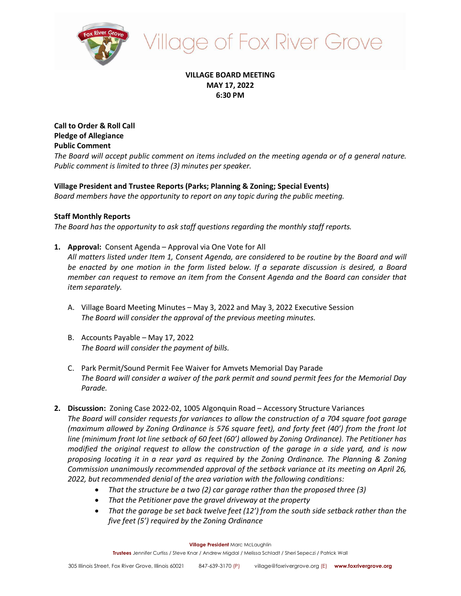

# **Ilage of Fox River Grove**

# **VILLAGE BOARD MEETING MAY 17, 2022 6:30 PM**

**Call to Order & Roll Call Pledge of Allegiance Public Comment**

*The Board will accept public comment on items included on the meeting agenda or of a general nature. Public comment is limited to three (3) minutes per speaker.*

# **Village President and Trustee Reports (Parks; Planning & Zoning; Special Events)**

*Board members have the opportunity to report on any topic during the public meeting.*

# **Staff Monthly Reports**

*The Board has the opportunity to ask staff questions regarding the monthly staff reports.*

- **1. Approval:** Consent Agenda Approval via One Vote for All *All matters listed under Item 1, Consent Agenda, are considered to be routine by the Board and will be enacted by one motion in the form listed below. If a separate discussion is desired, a Board member can request to remove an item from the Consent Agenda and the Board can consider that item separately.*
	- A. Village Board Meeting Minutes May 3, 2022 and May 3, 2022 Executive Session *The Board will consider the approval of the previous meeting minutes.*
	- B. Accounts Payable May 17, 2022 *The Board will consider the payment of bills.*
	- C. Park Permit/Sound Permit Fee Waiver for Amvets Memorial Day Parade *The Board will consider a waiver of the park permit and sound permit fees for the Memorial Day Parade.*
- **2. Discussion:** Zoning Case 2022-02, 1005 Algonquin Road Accessory Structure Variances *The Board will consider requests for variances to allow the construction of a 704 square foot garage (maximum allowed by Zoning Ordinance is 576 square feet), and forty feet (40') from the front lot line (minimum front lot line setback of 60 feet (60') allowed by Zoning Ordinance). The Petitioner has modified the original request to allow the construction of the garage in a side yard, and is now proposing locating it in a rear yard as required by the Zoning Ordinance. The Planning & Zoning Commission unanimously recommended approval of the setback variance at its meeting on April 26, 2022, but recommended denial of the area variation with the following conditions:*
	- *That the structure be a two (2) car garage rather than the proposed three (3)*
	- *That the Petitioner pave the gravel driveway at the property*
	- *That the garage be set back twelve feet (12') from the south side setback rather than the five feet (5') required by the Zoning Ordinance*

**Village President** Marc McLaughlin

**Trustees** Jennifer Curtiss / Steve Knar / Andrew Migdal / Melissa Schladt / Sheri Sepeczi / Patrick Wall